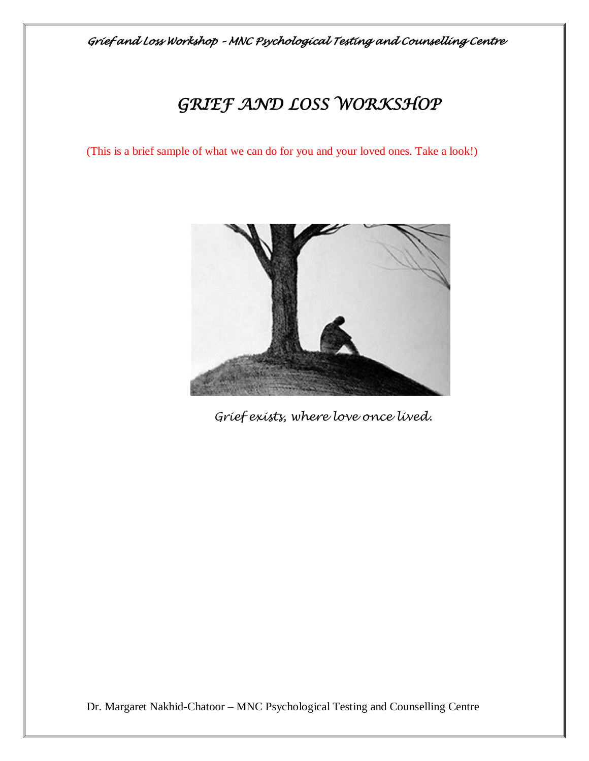# *GRIEF AND LOSS WORKSHOP*

(This is a brief sample of what we can do for you and your loved ones. Take a look!)



 *Grief exists, where love once lived.*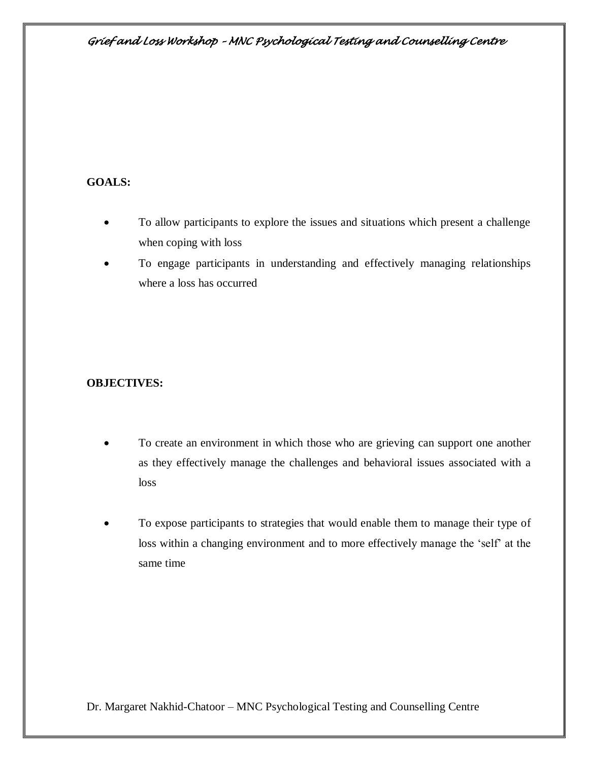## **GOALS:**

- To allow participants to explore the issues and situations which present a challenge when coping with loss
- To engage participants in understanding and effectively managing relationships where a loss has occurred

## **OBJECTIVES:**

- To create an environment in which those who are grieving can support one another as they effectively manage the challenges and behavioral issues associated with a loss
- To expose participants to strategies that would enable them to manage their type of loss within a changing environment and to more effectively manage the 'self' at the same time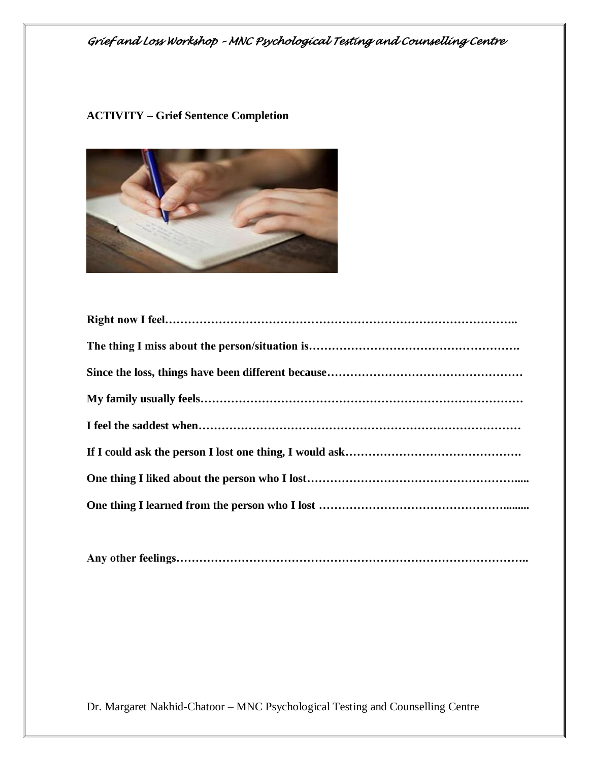#### **ACTIVITY – Grief Sentence Completion**



**Any other feelings………………………………………………………………………………..**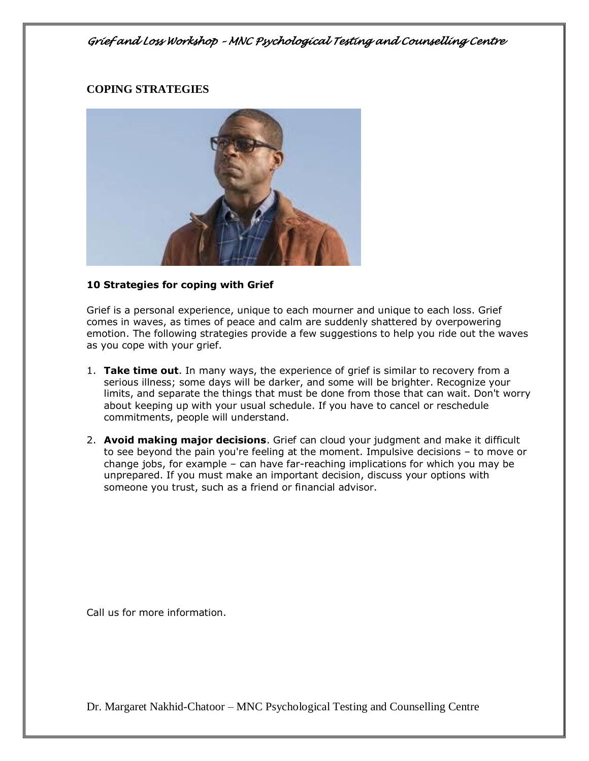### **COPING STRATEGIES**



#### **10 Strategies for coping with Grief**

Grief is a personal experience, unique to each mourner and unique to each loss. Grief comes in waves, as times of peace and calm are suddenly shattered by overpowering emotion. The following strategies provide a few suggestions to help you ride out the waves as you cope with your grief.

- 1. **Take time out**. In many ways, the experience of grief is similar to recovery from a serious illness; some days will be darker, and some will be brighter. Recognize your limits, and separate the things that must be done from those that can wait. Don't worry about keeping up with your usual schedule. If you have to cancel or reschedule commitments, people will understand.
- 2. **Avoid making major decisions**. Grief can cloud your judgment and make it difficult to see beyond the pain you're feeling at the moment. Impulsive decisions – to move or change jobs, for example – can have far-reaching implications for which you may be unprepared. If you must make an important decision, discuss your options with someone you trust, such as a friend or financial advisor.

Call us for more information.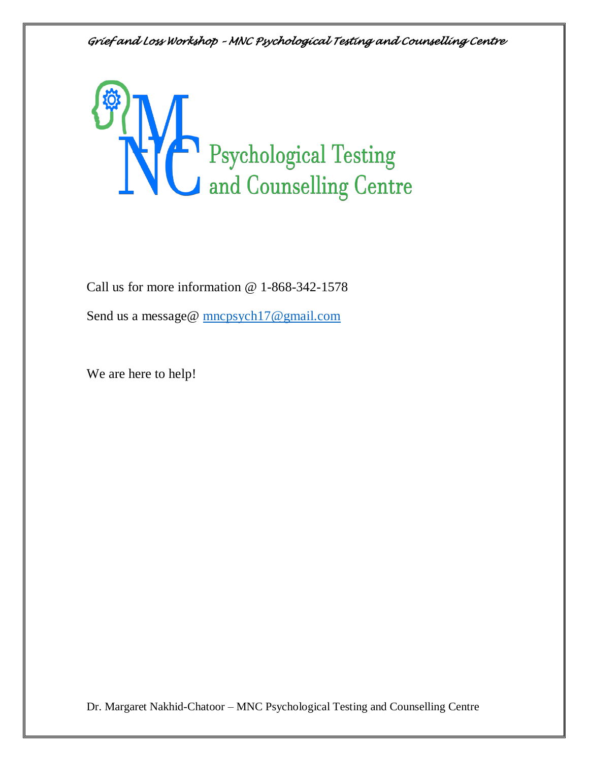

Call us for more information @ 1-868-342-1578

Send us a message@ [mncpsych17@gmail.com](mailto:mncpsych17@gmail.com)

We are here to help!